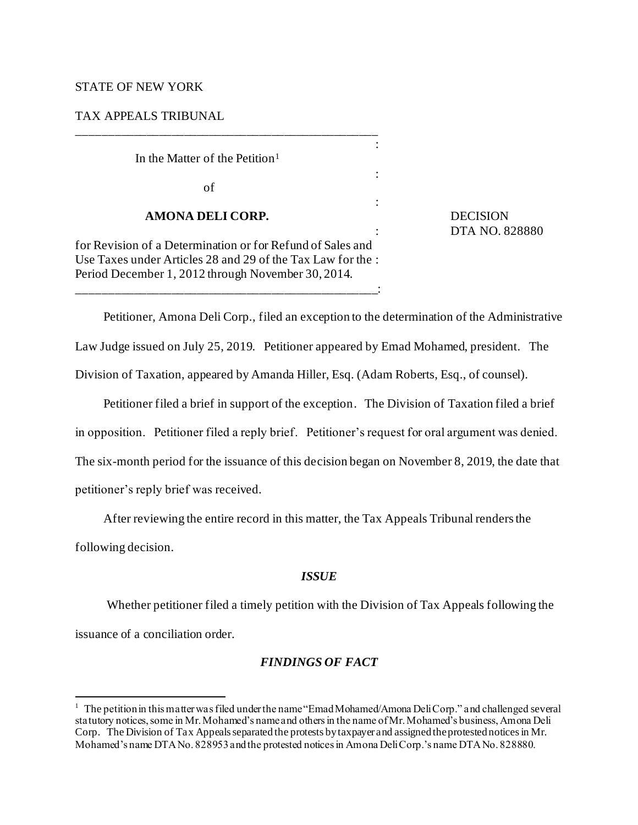## STATE OF NEW YORK

### TAX APPEALS TRIBUNAL

In the Matter of the Petition<sup>1</sup>

of

### **AMONA DELI CORP.** DECISION

for Revision of a Determination or for Refund of Sales and Use Taxes under Articles 28 and 29 of the Tax Law for the : Period December 1, 2012 through November 30, 2014.

\_\_\_\_\_\_\_\_\_\_\_\_\_\_\_\_\_\_\_\_\_\_\_\_\_\_\_\_\_\_\_\_\_\_\_\_\_\_\_\_\_\_\_\_\_\_\_\_:

\_\_\_\_\_\_\_\_\_\_\_\_\_\_\_\_\_\_\_\_\_\_\_\_\_\_\_\_\_\_\_\_\_\_\_\_\_\_\_\_\_\_\_\_\_\_\_\_

: DTA NO. 828880

Petitioner, Amona Deli Corp., filed an exception to the determination of the Administrative Law Judge issued on July 25, 2019. Petitioner appeared by Emad Mohamed, president. The Division of Taxation, appeared by Amanda Hiller, Esq. (Adam Roberts, Esq., of counsel).

:

:

:

Petitioner filed a brief in support of the exception. The Division of Taxation filed a brief in opposition. Petitioner filed a reply brief. Petitioner's request for oral argument was denied. The six-month period for the issuance of this decision began on November 8, 2019, the date that petitioner's reply brief was received.

After reviewing the entire record in this matter, the Tax Appeals Tribunal renders the

following decision.

# *ISSUE*

Whether petitioner filed a timely petition with the Division of Tax Appeals following the

issuance of a conciliation order.

# *FINDINGS OF FACT*

 $1$  The petition in this matter was filed under the name "Emad Mohamed/Amona Deli Corp." and challenged several statutory notices, some in Mr. Mohamed's name and others in the name of Mr. Mohamed's business, Amona Deli Corp. The Division of Tax Appeals separated the protests by taxpayer and assigned the protested notices in Mr. Mohamed's name DTA No. 828953 and the protested notices in Amona Deli Corp.'s name DTA No. 828880.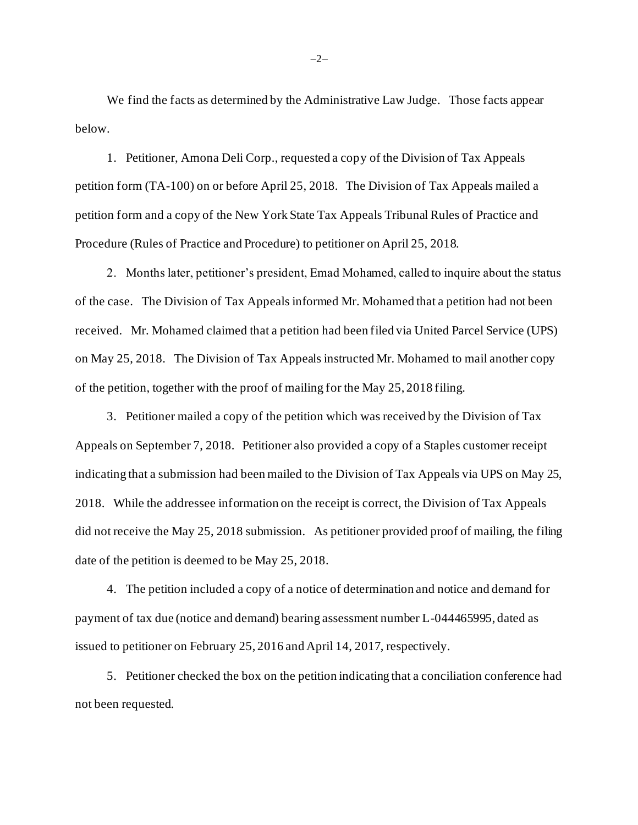We find the facts as determined by the Administrative Law Judge. Those facts appear below.

1. Petitioner, Amona Deli Corp., requested a copy of the Division of Tax Appeals petition form (TA-100) on or before April 25, 2018. The Division of Tax Appeals mailed a petition form and a copy of the New York State Tax Appeals Tribunal Rules of Practice and Procedure (Rules of Practice and Procedure) to petitioner on April 25, 2018.

2. Months later, petitioner's president, Emad Mohamed, called to inquire about the status of the case. The Division of Tax Appeals informed Mr. Mohamed that a petition had not been received. Mr. Mohamed claimed that a petition had been filed via United Parcel Service (UPS) on May 25, 2018. The Division of Tax Appeals instructed Mr. Mohamed to mail another copy of the petition, together with the proof of mailing for the May 25, 2018 filing.

3. Petitioner mailed a copy of the petition which was received by the Division of Tax Appeals on September 7, 2018. Petitioner also provided a copy of a Staples customer receipt indicating that a submission had been mailed to the Division of Tax Appeals via UPS on May 25, 2018. While the addressee information on the receipt is correct, the Division of Tax Appeals did not receive the May 25, 2018 submission. As petitioner provided proof of mailing, the filing date of the petition is deemed to be May 25, 2018.

4. The petition included a copy of a notice of determination and notice and demand for payment of tax due (notice and demand) bearing assessment number L-044465995, dated as issued to petitioner on February 25, 2016 and April 14, 2017, respectively.

5. Petitioner checked the box on the petition indicating that a conciliation conference had not been requested.

−2−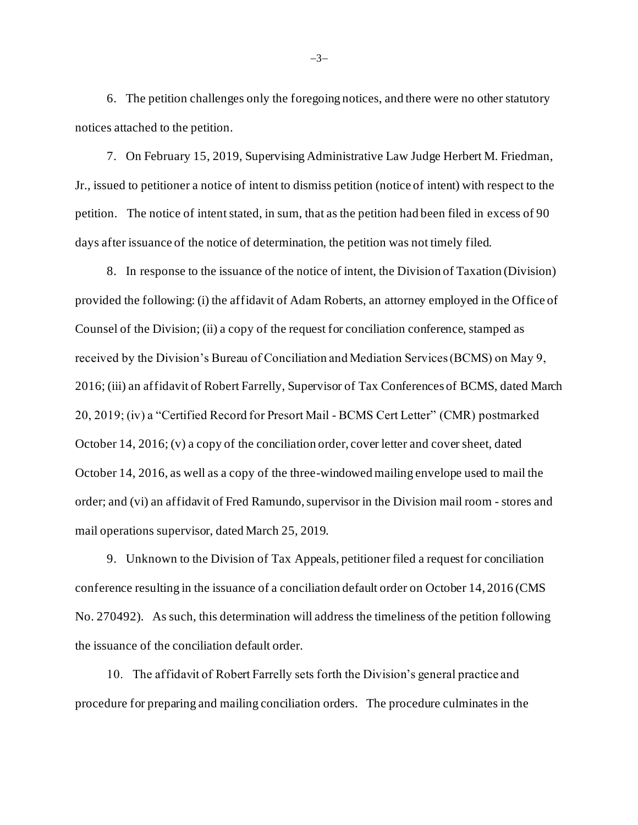6. The petition challenges only the foregoing notices, and there were no other statutory notices attached to the petition.

7. On February 15, 2019, Supervising Administrative Law Judge Herbert M. Friedman, Jr., issued to petitioner a notice of intent to dismiss petition (notice of intent) with respect to the petition. The notice of intent stated, in sum, that as the petition had been filed in excess of 90 days after issuance of the notice of determination, the petition was not timely filed.

8. In response to the issuance of the notice of intent, the Division of Taxation (Division) provided the following: (i) the affidavit of Adam Roberts, an attorney employed in the Office of Counsel of the Division; (ii) a copy of the request for conciliation conference, stamped as received by the Division's Bureau of Conciliation and Mediation Services (BCMS) on May 9, 2016; (iii) an affidavit of Robert Farrelly, Supervisor of Tax Conferences of BCMS, dated March 20, 2019; (iv) a "Certified Record for Presort Mail - BCMS Cert Letter" (CMR) postmarked October 14, 2016; (v) a copy of the conciliation order, cover letter and cover sheet, dated October 14, 2016, as well as a copy of the three-windowed mailing envelope used to mail the order; and (vi) an affidavit of Fred Ramundo, supervisor in the Division mail room - stores and mail operations supervisor, dated March 25, 2019.

9. Unknown to the Division of Tax Appeals, petitioner filed a request for conciliation conference resulting in the issuance of a conciliation default order on October 14, 2016 (CMS No. 270492). As such, this determination will address the timeliness of the petition following the issuance of the conciliation default order.

10. The affidavit of Robert Farrelly sets forth the Division's general practice and procedure for preparing and mailing conciliation orders. The procedure culminates in the

−3−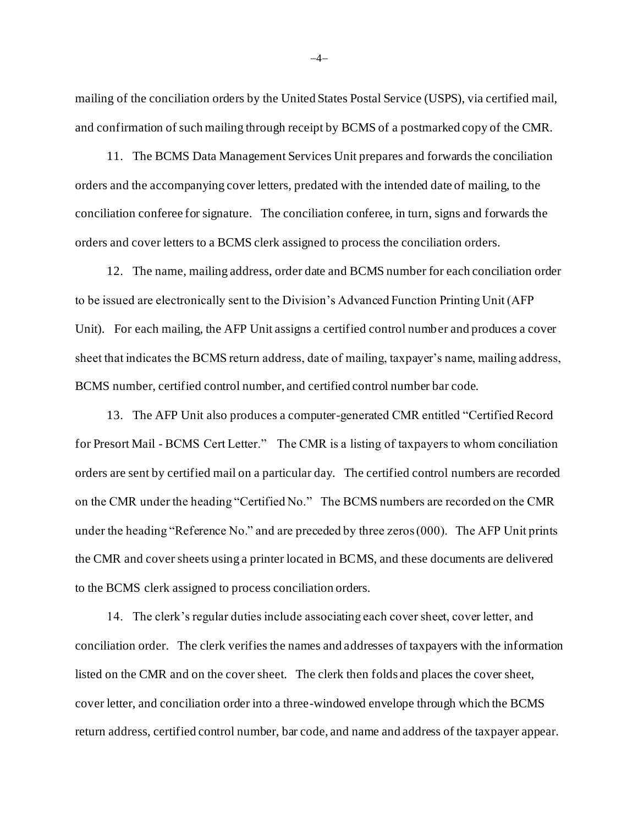mailing of the conciliation orders by the United States Postal Service (USPS), via certified mail, and confirmation of such mailing through receipt by BCMS of a postmarked copy of the CMR.

11. The BCMS Data Management Services Unit prepares and forwards the conciliation orders and the accompanying cover letters, predated with the intended date of mailing, to the conciliation conferee for signature. The conciliation conferee, in turn, signs and forwards the orders and cover letters to a BCMS clerk assigned to process the conciliation orders.

12. The name, mailing address, order date and BCMS number for each conciliation order to be issued are electronically sent to the Division's Advanced Function Printing Unit (AFP Unit). For each mailing, the AFP Unit assigns a certified control number and produces a cover sheet that indicates the BCMS return address, date of mailing, taxpayer's name, mailing address, BCMS number, certified control number, and certified control number bar code.

13. The AFP Unit also produces a computer-generated CMR entitled "Certified Record for Presort Mail - BCMS Cert Letter." The CMR is a listing of taxpayers to whom conciliation orders are sent by certified mail on a particular day. The certified control numbers are recorded on the CMR under the heading "Certified No." The BCMS numbers are recorded on the CMR under the heading "Reference No." and are preceded by three zeros (000). The AFP Unit prints the CMR and cover sheets using a printer located in BCMS, and these documents are delivered to the BCMS clerk assigned to process conciliation orders.

14. The clerk's regular duties include associating each cover sheet, cover letter, and conciliation order. The clerk verifies the names and addresses of taxpayers with the information listed on the CMR and on the cover sheet. The clerk then folds and places the cover sheet, cover letter, and conciliation order into a three-windowed envelope through which the BCMS return address, certified control number, bar code, and name and address of the taxpayer appear.

−4−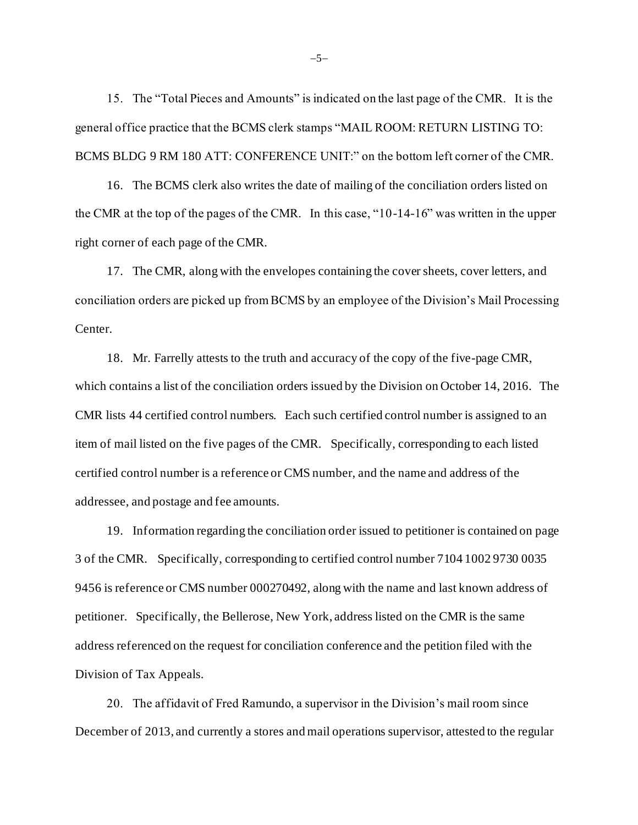15. The "Total Pieces and Amounts" is indicated on the last page of the CMR. It is the general office practice that the BCMS clerk stamps "MAIL ROOM: RETURN LISTING TO: BCMS BLDG 9 RM 180 ATT: CONFERENCE UNIT:" on the bottom left corner of the CMR.

16. The BCMS clerk also writes the date of mailing of the conciliation orders listed on the CMR at the top of the pages of the CMR. In this case, "10-14-16" was written in the upper right corner of each page of the CMR.

17. The CMR, along with the envelopes containing the cover sheets, cover letters, and conciliation orders are picked up from BCMS by an employee of the Division's Mail Processing Center.

18. Mr. Farrelly attests to the truth and accuracy of the copy of the five-page CMR, which contains a list of the conciliation orders issued by the Division on October 14, 2016. The CMR lists 44 certified control numbers. Each such certified control number is assigned to an item of mail listed on the five pages of the CMR. Specifically, corresponding to each listed certified control number is a reference or CMS number, and the name and address of the addressee, and postage and fee amounts.

19. Information regarding the conciliation order issued to petitioner is contained on page 3 of the CMR. Specifically, corresponding to certified control number 7104 1002 9730 0035 9456 is reference or CMS number 000270492, along with the name and last known address of petitioner. Specifically, the Bellerose, New York, address listed on the CMR is the same address referenced on the request for conciliation conference and the petition filed with the Division of Tax Appeals.

20. The affidavit of Fred Ramundo, a supervisor in the Division's mail room since December of 2013, and currently a stores and mail operations supervisor, attested to the regular

−5−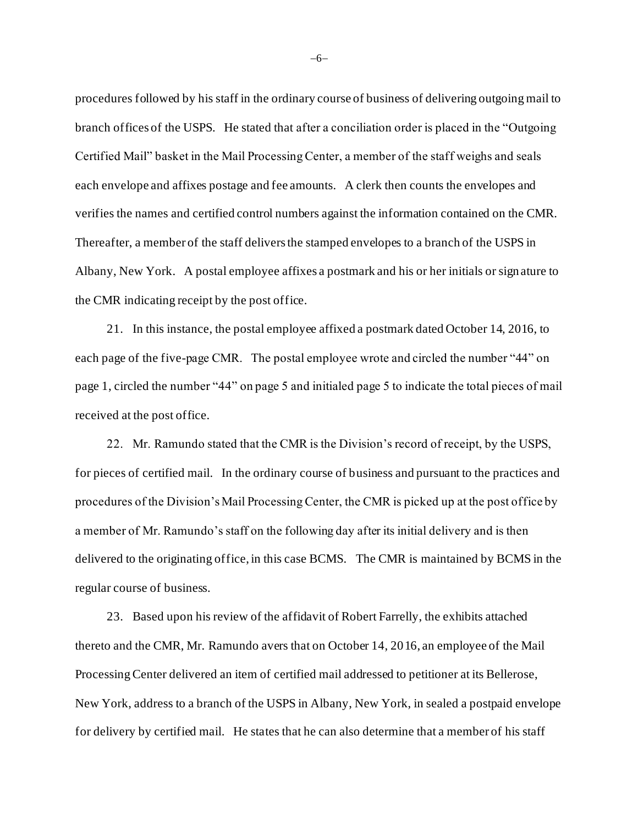procedures followed by his staff in the ordinary course of business of delivering outgoing mail to branch offices of the USPS. He stated that after a conciliation order is placed in the "Outgoing Certified Mail" basket in the Mail Processing Center, a member of the staff weighs and seals each envelope and affixes postage and fee amounts. A clerk then counts the envelopes and verifies the names and certified control numbers against the information contained on the CMR. Thereafter, a member of the staff delivers the stamped envelopes to a branch of the USPS in Albany, New York. A postal employee affixes a postmark and his or her initials or sign ature to the CMR indicating receipt by the post office.

21. In this instance, the postal employee affixed a postmark dated October 14, 2016, to each page of the five-page CMR. The postal employee wrote and circled the number "44" on page 1, circled the number "44" on page 5 and initialed page 5 to indicate the total pieces of mail received at the post office.

22. Mr. Ramundo stated that the CMR is the Division's record of receipt, by the USPS, for pieces of certified mail. In the ordinary course of business and pursuant to the practices and procedures of the Division's Mail Processing Center, the CMR is picked up at the post office by a member of Mr. Ramundo's staff on the following day after its initial delivery and is then delivered to the originating office, in this case BCMS. The CMR is maintained by BCMS in the regular course of business.

23. Based upon his review of the affidavit of Robert Farrelly, the exhibits attached thereto and the CMR, Mr. Ramundo avers that on October 14, 2016, an employee of the Mail Processing Center delivered an item of certified mail addressed to petitioner at its Bellerose, New York, address to a branch of the USPS in Albany, New York, in sealed a postpaid envelope for delivery by certified mail. He states that he can also determine that a member of his staff

−6−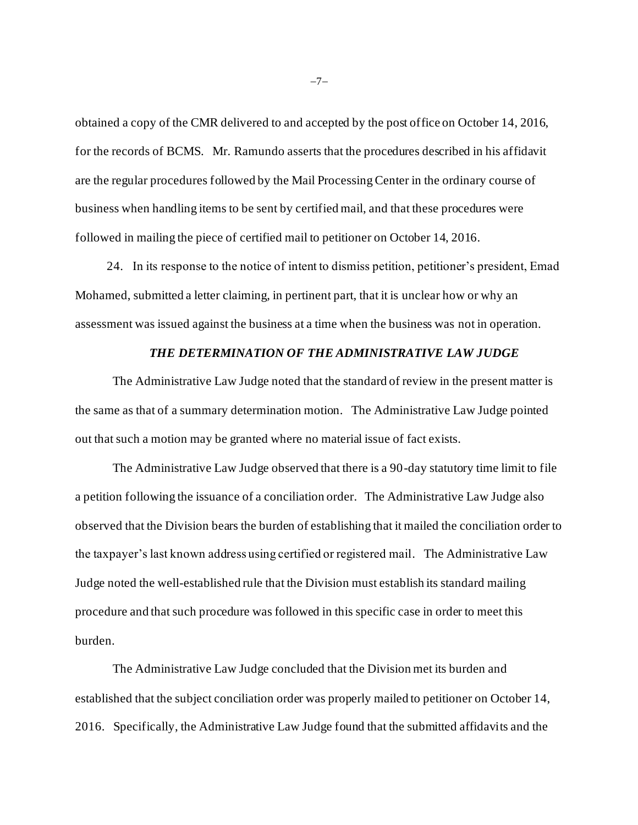obtained a copy of the CMR delivered to and accepted by the post office on October 14, 2016, for the records of BCMS. Mr. Ramundo asserts that the procedures described in his affidavit are the regular procedures followed by the Mail Processing Center in the ordinary course of business when handling items to be sent by certified mail, and that these procedures were followed in mailing the piece of certified mail to petitioner on October 14, 2016.

24. In its response to the notice of intent to dismiss petition, petitioner's president, Emad Mohamed, submitted a letter claiming, in pertinent part, that it is unclear how or why an assessment was issued against the business at a time when the business was not in operation.

### *THE DETERMINATION OF THE ADMINISTRATIVE LAW JUDGE*

The Administrative Law Judge noted that the standard of review in the present matter is the same as that of a summary determination motion. The Administrative Law Judge pointed out that such a motion may be granted where no material issue of fact exists.

The Administrative Law Judge observed that there is a 90-day statutory time limit to file a petition following the issuance of a conciliation order. The Administrative Law Judge also observed that the Division bears the burden of establishing that it mailed the conciliation order to the taxpayer's last known address using certified or registered mail. The Administrative Law Judge noted the well-established rule that the Division must establish its standard mailing procedure and that such procedure was followed in this specific case in order to meet this burden.

The Administrative Law Judge concluded that the Division met its burden and established that the subject conciliation order was properly mailed to petitioner on October 14, 2016. Specifically, the Administrative Law Judge found that the submitted affidavits and the

−7−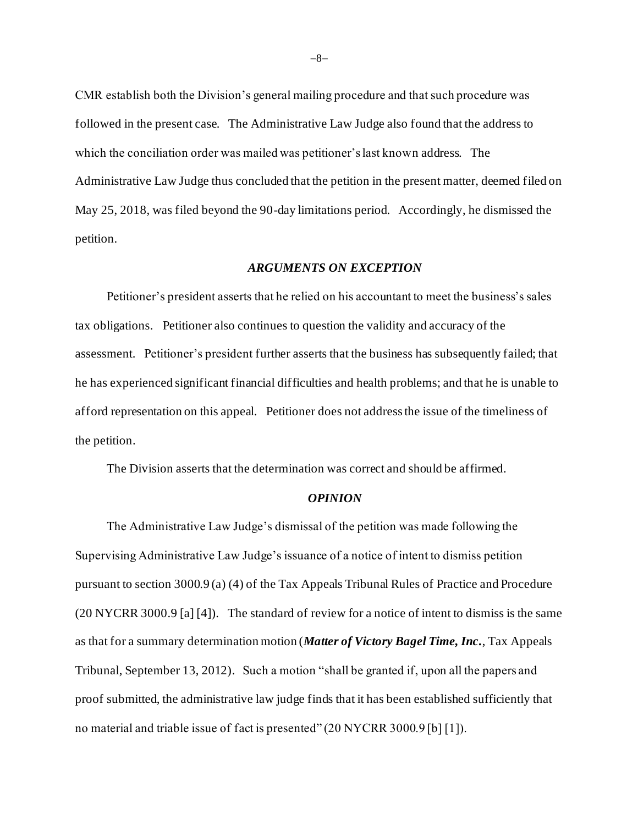CMR establish both the Division's general mailing procedure and that such procedure was followed in the present case. The Administrative Law Judge also found that the address to which the conciliation order was mailed was petitioner's last known address. The Administrative Law Judge thus concluded that the petition in the present matter, deemed filed on May 25, 2018, was filed beyond the 90-day limitations period. Accordingly, he dismissed the petition.

### *ARGUMENTS ON EXCEPTION*

Petitioner's president asserts that he relied on his accountant to meet the business's sales tax obligations. Petitioner also continues to question the validity and accuracy of the assessment. Petitioner's president further asserts that the business has subsequently failed; that he has experienced significant financial difficulties and health problems; and that he is unable to afford representation on this appeal. Petitioner does not address the issue of the timeliness of the petition.

The Division asserts that the determination was correct and should be affirmed.

#### *OPINION*

The Administrative Law Judge's dismissal of the petition was made following the Supervising Administrative Law Judge's issuance of a notice of intent to dismiss petition pursuant to section 3000.9 (a) (4) of the Tax Appeals Tribunal Rules of Practice and Procedure (20 NYCRR 3000.9 [a] [4]). The standard of review for a notice of intent to dismiss is the same as that for a summary determination motion (*Matter of Victory Bagel Time, Inc.*, Tax Appeals Tribunal, September 13, 2012). Such a motion "shall be granted if, upon all the papers and proof submitted, the administrative law judge finds that it has been established sufficiently that no material and triable issue of fact is presented" (20 NYCRR 3000.9 [b] [1]).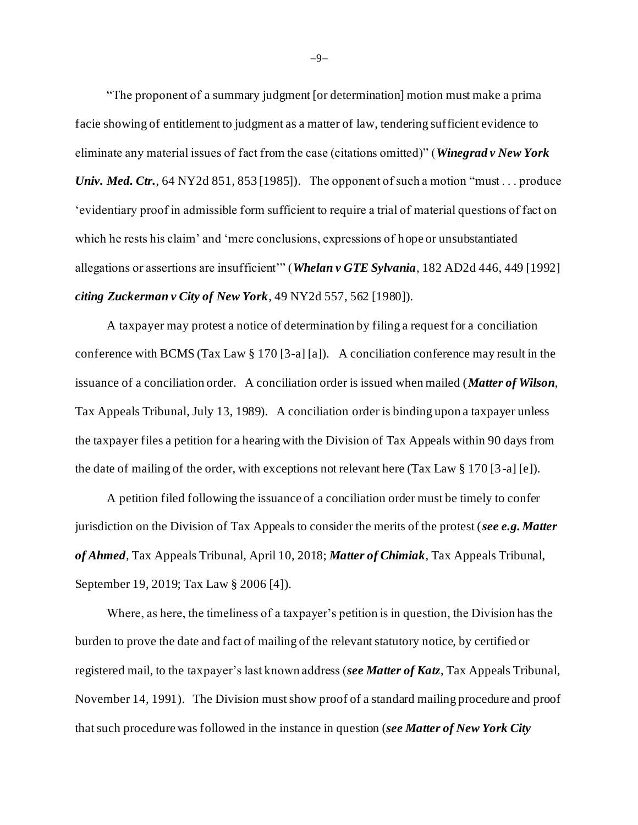"The proponent of a summary judgment [or determination] motion must make a prima facie showing of entitlement to judgment as a matter of law, tendering sufficient evidence to eliminate any material issues of fact from the case (citations omitted)" (*Winegrad v New York Univ. Med. Ctr.*, 64 NY2d 851, 853 [1985]). The opponent of such a motion "must... produce 'evidentiary proof in admissible form sufficient to require a trial of material questions of fact on which he rests his claim' and 'mere conclusions, expressions of hope or unsubstantiated allegations or assertions are insufficient'" (*Whelan v GTE Sylvania*, 182 AD2d 446, 449 [1992] *citing Zuckerman v City of New York*, 49 NY2d 557, 562 [1980]).

A taxpayer may protest a notice of determination by filing a request for a conciliation conference with BCMS (Tax Law § 170 [3-a] [a]). A conciliation conference may result in the issuance of a conciliation order. A conciliation order is issued when mailed (*Matter of Wilson*, Tax Appeals Tribunal, July 13, 1989). A conciliation order is binding upon a taxpayer unless the taxpayer files a petition for a hearing with the Division of Tax Appeals within 90 days from the date of mailing of the order, with exceptions not relevant here (Tax Law  $\S 170$  [3-a] [e]).

A petition filed following the issuance of a conciliation order must be timely to confer jurisdiction on the Division of Tax Appeals to consider the merits of the protest (*see e.g. Matter of Ahmed*, Tax Appeals Tribunal, April 10, 2018; *Matter of Chimiak*, Tax Appeals Tribunal, September 19, 2019; Tax Law § 2006 [4]).

Where, as here, the timeliness of a taxpayer's petition is in question, the Division has the burden to prove the date and fact of mailing of the relevant statutory notice, by certified or registered mail, to the taxpayer's last known address (*see Matter of Katz*, Tax Appeals Tribunal, November 14, 1991). The Division must show proof of a standard mailing procedure and proof that such procedure was followed in the instance in question (*see Matter of New York City* 

−9−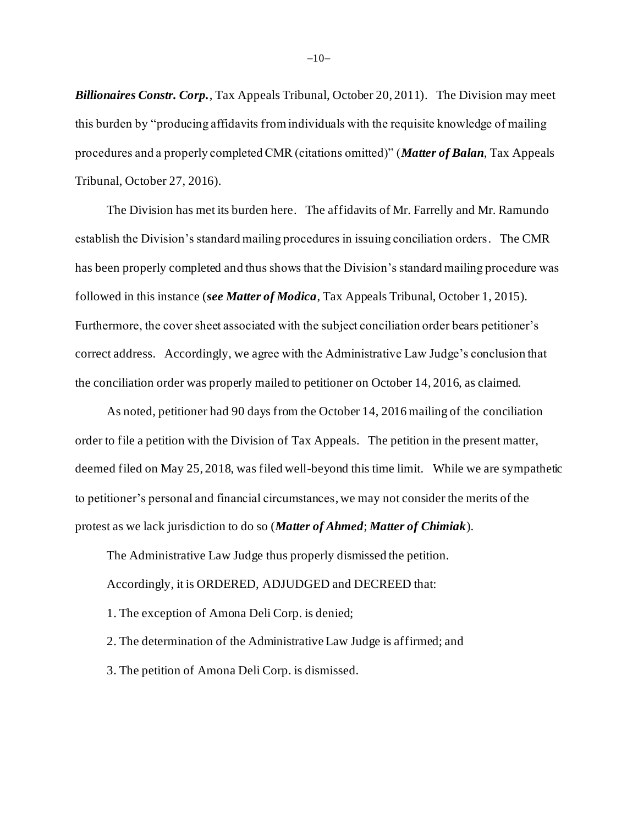*Billionaires Constr. Corp.*, Tax Appeals Tribunal, October 20, 2011). The Division may meet this burden by "producing affidavits from individuals with the requisite knowledge of mailing procedures and a properly completed CMR (citations omitted)" (*Matter of Balan*, Tax Appeals Tribunal, October 27, 2016).

The Division has met its burden here. The affidavits of Mr. Farrelly and Mr. Ramundo establish the Division's standard mailing procedures in issuing conciliation orders. The CMR has been properly completed and thus shows that the Division's standard mailing procedure was followed in this instance (*see Matter of Modica*, Tax Appeals Tribunal, October 1, 2015). Furthermore, the cover sheet associated with the subject conciliation order bears petitioner's correct address. Accordingly, we agree with the Administrative Law Judge's conclusion that the conciliation order was properly mailed to petitioner on October 14, 2016, as claimed.

As noted, petitioner had 90 days from the October 14, 2016 mailing of the conciliation order to file a petition with the Division of Tax Appeals. The petition in the present matter, deemed filed on May 25, 2018, was filed well-beyond this time limit. While we are sympathetic to petitioner's personal and financial circumstances, we may not consider the merits of the protest as we lack jurisdiction to do so (*Matter of Ahmed*; *Matter of Chimiak*).

The Administrative Law Judge thus properly dismissed the petition.

Accordingly, it is ORDERED, ADJUDGED and DECREED that:

1. The exception of Amona Deli Corp. is denied;

2. The determination of the Administrative Law Judge is affirmed; and

3. The petition of Amona Deli Corp. is dismissed.